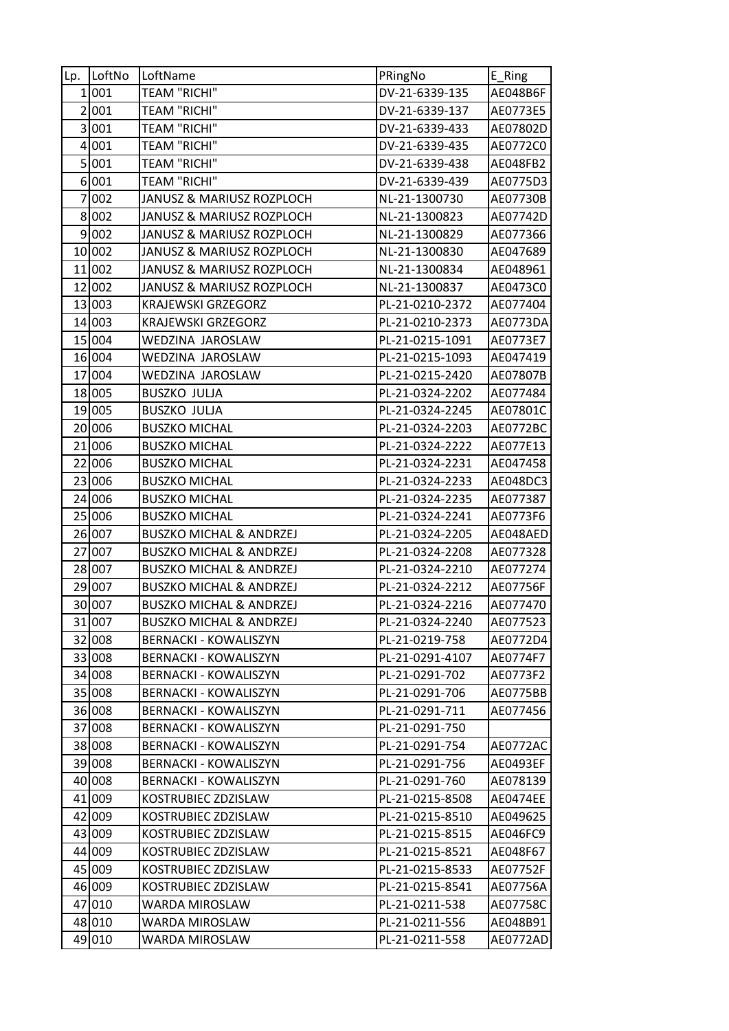| Lp. | LoftNo | LoftName                           | PRingNo         | E_Ring          |
|-----|--------|------------------------------------|-----------------|-----------------|
|     | 1 001  | <b>TEAM "RICHI"</b>                | DV-21-6339-135  | AE048B6F        |
|     | 2 001  | <b>TEAM "RICHI"</b>                | DV-21-6339-137  | AE0773E5        |
|     | 3001   | <b>TEAM "RICHI"</b>                | DV-21-6339-433  | AE07802D        |
|     | 4 001  | <b>TEAM "RICHI"</b>                | DV-21-6339-435  | AE0772C0        |
|     | 5 001  | <b>TEAM "RICHI"</b>                | DV-21-6339-438  | AE048FB2        |
|     | 6001   | <b>TEAM "RICHI"</b>                | DV-21-6339-439  | AE0775D3        |
|     | 7002   | JANUSZ & MARIUSZ ROZPLOCH          | NL-21-1300730   | AE07730B        |
|     | 8002   | JANUSZ & MARIUSZ ROZPLOCH          | NL-21-1300823   | AE07742D        |
|     | 9 002  | JANUSZ & MARIUSZ ROZPLOCH          | NL-21-1300829   | AE077366        |
|     | 10 002 | JANUSZ & MARIUSZ ROZPLOCH          | NL-21-1300830   | AE047689        |
|     | 11 002 | JANUSZ & MARIUSZ ROZPLOCH          | NL-21-1300834   | AE048961        |
|     | 12 002 | JANUSZ & MARIUSZ ROZPLOCH          | NL-21-1300837   | AE0473C0        |
|     | 13 003 | <b>KRAJEWSKI GRZEGORZ</b>          | PL-21-0210-2372 | AE077404        |
|     | 14 003 | <b>KRAJEWSKI GRZEGORZ</b>          | PL-21-0210-2373 | AE0773DA        |
|     | 15 004 | WEDZINA JAROSLAW                   | PL-21-0215-1091 | AE0773E7        |
|     | 16 004 | WEDZINA JAROSLAW                   | PL-21-0215-1093 | AE047419        |
|     | 17 004 | WEDZINA JAROSLAW                   | PL-21-0215-2420 | AE07807B        |
|     | 18 005 | <b>BUSZKO JULJA</b>                | PL-21-0324-2202 | AE077484        |
|     | 19 005 | <b>BUSZKO JULJA</b>                | PL-21-0324-2245 | AE07801C        |
|     | 20 006 | <b>BUSZKO MICHAL</b>               | PL-21-0324-2203 | AE0772BC        |
|     | 21 006 | <b>BUSZKO MICHAL</b>               | PL-21-0324-2222 | AE077E13        |
|     | 22 006 | <b>BUSZKO MICHAL</b>               | PL-21-0324-2231 | AE047458        |
|     | 23 006 | <b>BUSZKO MICHAL</b>               | PL-21-0324-2233 | AE048DC3        |
|     | 24 006 | <b>BUSZKO MICHAL</b>               | PL-21-0324-2235 | AE077387        |
|     | 25 006 | <b>BUSZKO MICHAL</b>               | PL-21-0324-2241 | AE0773F6        |
|     | 26 007 | <b>BUSZKO MICHAL &amp; ANDRZEJ</b> | PL-21-0324-2205 | AE048AED        |
|     | 27 007 | <b>BUSZKO MICHAL &amp; ANDRZEJ</b> | PL-21-0324-2208 | AE077328        |
|     | 28 007 | <b>BUSZKO MICHAL &amp; ANDRZEJ</b> | PL-21-0324-2210 | AE077274        |
|     | 29 007 | <b>BUSZKO MICHAL &amp; ANDRZEJ</b> | PL-21-0324-2212 | AE07756F        |
|     | 30 007 | <b>BUSZKO MICHAL &amp; ANDRZEJ</b> | PL-21-0324-2216 | AE077470        |
|     | 31 007 | <b>BUSZKO MICHAL &amp; ANDRZEJ</b> | PL-21-0324-2240 | AE077523        |
|     | 32 008 | <b>BERNACKI - KOWALISZYN</b>       | PL-21-0219-758  | AE0772D4        |
|     | 33 008 | <b>BERNACKI - KOWALISZYN</b>       | PL-21-0291-4107 | AE0774F7        |
|     | 34 008 | <b>BERNACKI - KOWALISZYN</b>       | PL-21-0291-702  | AE0773F2        |
|     | 35 008 | <b>BERNACKI - KOWALISZYN</b>       | PL-21-0291-706  | AE0775BB        |
|     | 36 008 | <b>BERNACKI - KOWALISZYN</b>       | PL-21-0291-711  | AE077456        |
|     | 37 008 | BERNACKI - KOWALISZYN              | PL-21-0291-750  |                 |
|     | 38 008 | BERNACKI - KOWALISZYN              | PL-21-0291-754  | AE0772AC        |
|     | 39 008 | <b>BERNACKI - KOWALISZYN</b>       | PL-21-0291-756  | AE0493EF        |
|     | 40 008 | BERNACKI - KOWALISZYN              | PL-21-0291-760  | AE078139        |
|     | 41 009 | KOSTRUBIEC ZDZISLAW                | PL-21-0215-8508 | <b>AE0474EE</b> |
|     | 42 009 | KOSTRUBIEC ZDZISLAW                | PL-21-0215-8510 | AE049625        |
|     | 43 009 | KOSTRUBIEC ZDZISLAW                | PL-21-0215-8515 | AE046FC9        |
|     | 44 009 | KOSTRUBIEC ZDZISLAW                | PL-21-0215-8521 | AE048F67        |
|     | 45 009 | KOSTRUBIEC ZDZISLAW                | PL-21-0215-8533 | AE07752F        |
|     | 46 009 | KOSTRUBIEC ZDZISLAW                | PL-21-0215-8541 | AE07756A        |
|     | 47 010 | WARDA MIROSLAW                     | PL-21-0211-538  | AE07758C        |
|     | 48 010 | WARDA MIROSLAW                     | PL-21-0211-556  | AE048B91        |
|     | 49 010 | WARDA MIROSLAW                     | PL-21-0211-558  | AE0772AD        |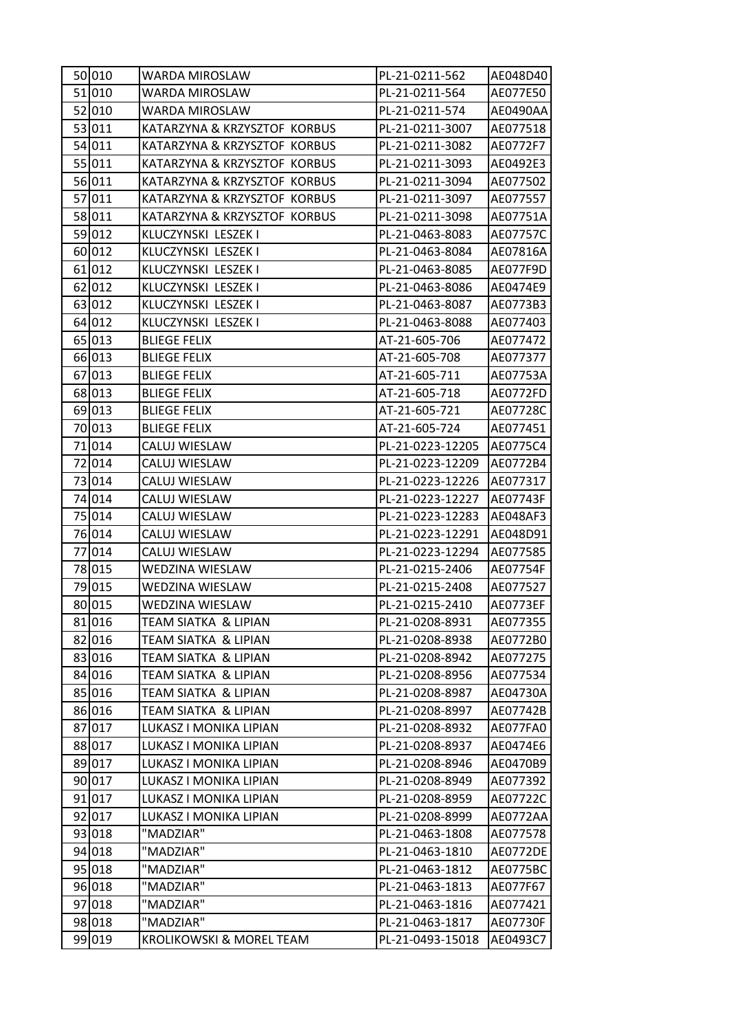| 50 010 | WARDA MIROSLAW               | PL-21-0211-562   | AE048D40 |
|--------|------------------------------|------------------|----------|
| 51 010 | WARDA MIROSLAW               | PL-21-0211-564   | AE077E50 |
| 52 010 | WARDA MIROSLAW               | PL-21-0211-574   | AE0490AA |
| 53 011 | KATARZYNA & KRZYSZTOF KORBUS | PL-21-0211-3007  | AE077518 |
| 54 011 | KATARZYNA & KRZYSZTOF KORBUS | PL-21-0211-3082  | AE0772F7 |
| 55 011 | KATARZYNA & KRZYSZTOF KORBUS | PL-21-0211-3093  | AE0492E3 |
| 56 011 | KATARZYNA & KRZYSZTOF KORBUS | PL-21-0211-3094  | AE077502 |
| 57 011 | KATARZYNA & KRZYSZTOF KORBUS | PL-21-0211-3097  | AE077557 |
| 58 011 | KATARZYNA & KRZYSZTOF KORBUS | PL-21-0211-3098  | AE07751A |
| 59 012 | KLUCZYNSKI LESZEK I          | PL-21-0463-8083  | AE07757C |
| 60 012 | KLUCZYNSKI LESZEK I          | PL-21-0463-8084  | AE07816A |
| 61 012 | KLUCZYNSKI LESZEK I          | PL-21-0463-8085  | AE077F9D |
| 62 012 | KLUCZYNSKI LESZEK I          | PL-21-0463-8086  | AE0474E9 |
| 63 012 | KLUCZYNSKI LESZEK I          | PL-21-0463-8087  | AE0773B3 |
| 64 012 | KLUCZYNSKI LESZEK I          | PL-21-0463-8088  | AE077403 |
| 65 013 | <b>BLIEGE FELIX</b>          | AT-21-605-706    | AE077472 |
| 66 013 | <b>BLIEGE FELIX</b>          | AT-21-605-708    | AE077377 |
| 67 013 | <b>BLIEGE FELIX</b>          | AT-21-605-711    | AE07753A |
| 68 013 | <b>BLIEGE FELIX</b>          | AT-21-605-718    | AE0772FD |
| 69 013 | <b>BLIEGE FELIX</b>          | AT-21-605-721    | AE07728C |
| 70 013 | <b>BLIEGE FELIX</b>          | AT-21-605-724    | AE077451 |
| 71 014 | CALUJ WIESLAW                | PL-21-0223-12205 | AE0775C4 |
| 72 014 | CALUJ WIESLAW                | PL-21-0223-12209 | AE0772B4 |
| 73 014 | CALUJ WIESLAW                | PL-21-0223-12226 | AE077317 |
| 74 014 | CALUJ WIESLAW                | PL-21-0223-12227 | AE07743F |
| 75 014 | CALUJ WIESLAW                | PL-21-0223-12283 | AE048AF3 |
| 76 014 | CALUJ WIESLAW                | PL-21-0223-12291 | AE048D91 |
| 77 014 | CALUJ WIESLAW                | PL-21-0223-12294 | AE077585 |
| 78 015 | WEDZINA WIESLAW              | PL-21-0215-2406  | AE07754F |
| 79 015 | <b>WEDZINA WIESLAW</b>       | PL-21-0215-2408  | AE077527 |
| 80 015 | WEDZINA WIESLAW              | PL-21-0215-2410  | AE0773EF |
| 81 016 | TEAM SIATKA & LIPIAN         | PL-21-0208-8931  | AE077355 |
| 82 016 | TEAM SIATKA & LIPIAN         | PL-21-0208-8938  | AE0772B0 |
| 83 016 | TEAM SIATKA & LIPIAN         | PL-21-0208-8942  | AE077275 |
| 84 016 | TEAM SIATKA & LIPIAN         | PL-21-0208-8956  | AE077534 |
| 85 016 | TEAM SIATKA & LIPIAN         | PL-21-0208-8987  | AE04730A |
| 86 016 | TEAM SIATKA & LIPIAN         | PL-21-0208-8997  | AE07742B |
| 87 017 | LUKASZ I MONIKA LIPIAN       | PL-21-0208-8932  | AE077FA0 |
| 88 017 | LUKASZ I MONIKA LIPIAN       | PL-21-0208-8937  | AE0474E6 |
| 89 017 | LUKASZ I MONIKA LIPIAN       | PL-21-0208-8946  | AE0470B9 |
| 90 017 | LUKASZ I MONIKA LIPIAN       | PL-21-0208-8949  | AE077392 |
| 91 017 | LUKASZ I MONIKA LIPIAN       | PL-21-0208-8959  | AE07722C |
| 92 017 | LUKASZ I MONIKA LIPIAN       | PL-21-0208-8999  | AE0772AA |
| 93 018 | "MADZIAR"                    | PL-21-0463-1808  | AE077578 |
| 94 018 | "MADZIAR"                    | PL-21-0463-1810  | AE0772DE |
| 95 018 | "MADZIAR"                    | PL-21-0463-1812  | AE0775BC |
| 96 018 | "MADZIAR"                    | PL-21-0463-1813  | AE077F67 |
| 97 018 | "MADZIAR"                    | PL-21-0463-1816  | AE077421 |
| 98 018 | "MADZIAR"                    | PL-21-0463-1817  | AE07730F |
| 99 019 | KROLIKOWSKI & MOREL TEAM     | PL-21-0493-15018 | AE0493C7 |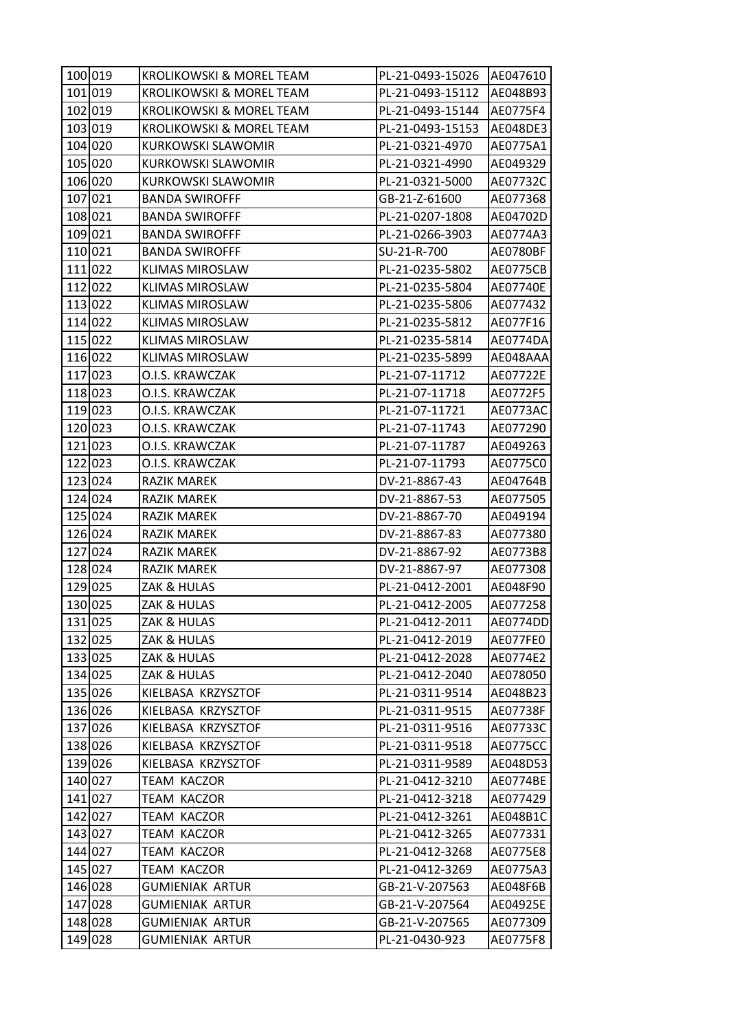| 100 019 | KROLIKOWSKI & MOREL TEAM  | PL-21-0493-15026 | AE047610        |
|---------|---------------------------|------------------|-----------------|
| 101 019 | KROLIKOWSKI & MOREL TEAM  | PL-21-0493-15112 | AE048B93        |
| 102 019 | KROLIKOWSKI & MOREL TEAM  | PL-21-0493-15144 | AE0775F4        |
| 103 019 | KROLIKOWSKI & MOREL TEAM  | PL-21-0493-15153 | AE048DE3        |
| 104 020 | <b>KURKOWSKI SLAWOMIR</b> | PL-21-0321-4970  | AE0775A1        |
| 105 020 | <b>KURKOWSKI SLAWOMIR</b> | PL-21-0321-4990  | AE049329        |
| 106 020 | <b>KURKOWSKI SLAWOMIR</b> | PL-21-0321-5000  | AE07732C        |
| 107 021 | <b>BANDA SWIROFFF</b>     | GB-21-Z-61600    | AE077368        |
| 108 021 | <b>BANDA SWIROFFF</b>     | PL-21-0207-1808  | AE04702D        |
| 109 021 | <b>BANDA SWIROFFF</b>     | PL-21-0266-3903  | AE0774A3        |
| 110 021 | <b>BANDA SWIROFFF</b>     | SU-21-R-700      | AE0780BF        |
| 111 022 | <b>KLIMAS MIROSLAW</b>    | PL-21-0235-5802  | <b>AE0775CB</b> |
| 112 022 | <b>KLIMAS MIROSLAW</b>    | PL-21-0235-5804  | AE07740E        |
| 113 022 | <b>KLIMAS MIROSLAW</b>    | PL-21-0235-5806  | AE077432        |
| 114 022 | <b>KLIMAS MIROSLAW</b>    | PL-21-0235-5812  | AE077F16        |
| 115 022 | <b>KLIMAS MIROSLAW</b>    | PL-21-0235-5814  | AE0774DA        |
| 116 022 | <b>KLIMAS MIROSLAW</b>    | PL-21-0235-5899  | AE048AAA        |
| 117 023 | O.I.S. KRAWCZAK           | PL-21-07-11712   | AE07722E        |
| 118 023 | O.I.S. KRAWCZAK           | PL-21-07-11718   | AE0772F5        |
| 119 023 | O.I.S. KRAWCZAK           | PL-21-07-11721   | <b>AE0773AC</b> |
| 120 023 | O.I.S. KRAWCZAK           | PL-21-07-11743   | AE077290        |
| 121 023 | O.I.S. KRAWCZAK           | PL-21-07-11787   | AE049263        |
| 122 023 | O.I.S. KRAWCZAK           | PL-21-07-11793   | AE0775C0        |
| 123 024 | <b>RAZIK MAREK</b>        | DV-21-8867-43    | AE04764B        |
| 124 024 | <b>RAZIK MAREK</b>        | DV-21-8867-53    | AE077505        |
| 125 024 | <b>RAZIK MAREK</b>        | DV-21-8867-70    | AE049194        |
| 126 024 | <b>RAZIK MAREK</b>        | DV-21-8867-83    | AE077380        |
| 127 024 | <b>RAZIK MAREK</b>        | DV-21-8867-92    | AE0773B8        |
| 128 024 | <b>RAZIK MAREK</b>        | DV-21-8867-97    | AE077308        |
| 129 025 | ZAK & HULAS               | PL-21-0412-2001  | AE048F90        |
| 130 025 | ZAK & HULAS               | PL-21-0412-2005  | AE077258        |
| 131 025 | ZAK & HULAS               | PL-21-0412-2011  | <b>AE0774DD</b> |
| 132 025 | ZAK & HULAS               | PL-21-0412-2019  | AE077FE0        |
| 133 025 | ZAK & HULAS               | PL-21-0412-2028  | AE0774E2        |
| 134 025 | ZAK & HULAS               | PL-21-0412-2040  | AE078050        |
| 135 026 | KIELBASA KRZYSZTOF        | PL-21-0311-9514  | AE048B23        |
| 136 026 | KIELBASA KRZYSZTOF        | PL-21-0311-9515  | AE07738F        |
| 137 026 | KIELBASA KRZYSZTOF        | PL-21-0311-9516  | AE07733C        |
| 138 026 | KIELBASA KRZYSZTOF        | PL-21-0311-9518  | AE0775CC        |
| 139 026 | KIELBASA KRZYSZTOF        | PL-21-0311-9589  | AE048D53        |
| 140 027 | TEAM KACZOR               | PL-21-0412-3210  | AE0774BE        |
| 141 027 | TEAM KACZOR               | PL-21-0412-3218  | AE077429        |
| 142 027 | <b>TEAM KACZOR</b>        | PL-21-0412-3261  | AE048B1C        |
| 143 027 | TEAM KACZOR               | PL-21-0412-3265  | AE077331        |
| 144 027 | TEAM KACZOR               | PL-21-0412-3268  | AE0775E8        |
| 145 027 | TEAM KACZOR               | PL-21-0412-3269  | AE0775A3        |
| 146 028 | <b>GUMIENIAK ARTUR</b>    | GB-21-V-207563   | AE048F6B        |
| 147 028 | <b>GUMIENIAK ARTUR</b>    | GB-21-V-207564   | AE04925E        |
| 148 028 | <b>GUMIENIAK ARTUR</b>    | GB-21-V-207565   | AE077309        |
| 149 028 | <b>GUMIENIAK ARTUR</b>    | PL-21-0430-923   | AE0775F8        |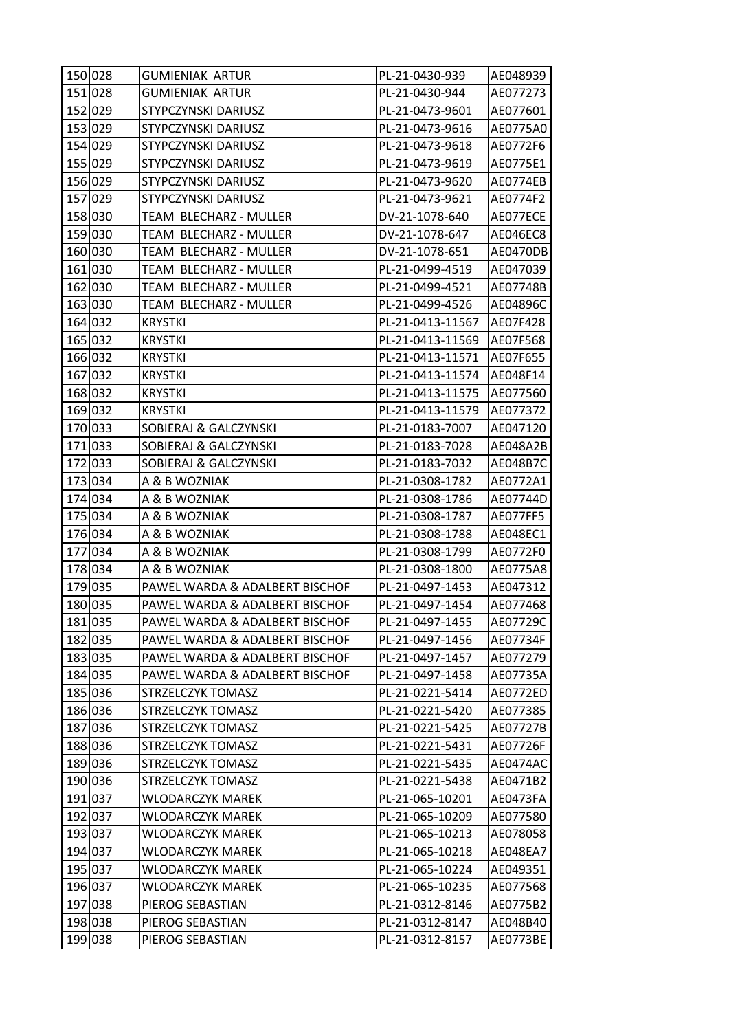| 150 028 |         | GUMIENIAK ARTUR                | PL-21-0430-939   | AE048939        |
|---------|---------|--------------------------------|------------------|-----------------|
|         | 151 028 | GUMIENIAK ARTUR                | PL-21-0430-944   | AE077273        |
|         | 152 029 | STYPCZYNSKI DARIUSZ            | PL-21-0473-9601  | AE077601        |
|         | 153 029 | STYPCZYNSKI DARIUSZ            | PL-21-0473-9616  | AE0775A0        |
| 154 029 |         | STYPCZYNSKI DARIUSZ            | PL-21-0473-9618  | AE0772F6        |
|         | 155 029 | STYPCZYNSKI DARIUSZ            | PL-21-0473-9619  | AE0775E1        |
|         | 156 029 | STYPCZYNSKI DARIUSZ            | PL-21-0473-9620  | AE0774EB        |
| 157 029 |         | STYPCZYNSKI DARIUSZ            | PL-21-0473-9621  | AE0774F2        |
|         | 158 030 | TEAM BLECHARZ - MULLER         | DV-21-1078-640   | AE077ECE        |
| 159 030 |         | TEAM BLECHARZ - MULLER         | DV-21-1078-647   | <b>AE046EC8</b> |
|         | 160 030 | TEAM BLECHARZ - MULLER         | DV-21-1078-651   | AE0470DB        |
|         | 161 030 | TEAM BLECHARZ - MULLER         | PL-21-0499-4519  | AE047039        |
|         | 162 030 | TEAM BLECHARZ - MULLER         | PL-21-0499-4521  | AE07748B        |
|         | 163 030 | TEAM BLECHARZ - MULLER         | PL-21-0499-4526  | AE04896C        |
|         | 164 032 | <b>KRYSTKI</b>                 | PL-21-0413-11567 | AE07F428        |
|         | 165 032 | <b>KRYSTKI</b>                 | PL-21-0413-11569 | AE07F568        |
|         | 166 032 | <b>KRYSTKI</b>                 | PL-21-0413-11571 | AE07F655        |
|         | 167 032 | <b>KRYSTKI</b>                 | PL-21-0413-11574 | AE048F14        |
|         | 168 032 | <b>KRYSTKI</b>                 | PL-21-0413-11575 | AE077560        |
|         | 169 032 | <b>KRYSTKI</b>                 | PL-21-0413-11579 | AE077372        |
|         | 170 033 | SOBIERAJ & GALCZYNSKI          | PL-21-0183-7007  | AE047120        |
|         | 171 033 | SOBIERAJ & GALCZYNSKI          | PL-21-0183-7028  | AE048A2B        |
| 172 033 |         | SOBIERAJ & GALCZYNSKI          | PL-21-0183-7032  | AE048B7C        |
|         | 173 034 | A & B WOZNIAK                  | PL-21-0308-1782  | AE0772A1        |
|         | 174 034 | A & B WOZNIAK                  | PL-21-0308-1786  | AE07744D        |
|         | 175 034 | A & B WOZNIAK                  | PL-21-0308-1787  | AE077FF5        |
|         | 176 034 | A & B WOZNIAK                  | PL-21-0308-1788  | AE048EC1        |
|         | 177 034 | A & B WOZNIAK                  | PL-21-0308-1799  | AE0772F0        |
|         | 178 034 | A & B WOZNIAK                  | PL-21-0308-1800  | AE0775A8        |
|         | 179 035 | PAWEL WARDA & ADALBERT BISCHOF | PL-21-0497-1453  | AE047312        |
|         | 180 035 | PAWEL WARDA & ADALBERT BISCHOF | PL-21-0497-1454  | AE077468        |
|         | 181 035 | PAWEL WARDA & ADALBERT BISCHOF | PL-21-0497-1455  | AE07729C        |
|         | 182 035 | PAWEL WARDA & ADALBERT BISCHOF | PL-21-0497-1456  | AE07734F        |
|         | 183 035 | PAWEL WARDA & ADALBERT BISCHOF | PL-21-0497-1457  | AE077279        |
| 184 035 |         | PAWEL WARDA & ADALBERT BISCHOF | PL-21-0497-1458  | AE07735A        |
|         | 185 036 | STRZELCZYK TOMASZ              | PL-21-0221-5414  | AE0772ED        |
|         | 186 036 | STRZELCZYK TOMASZ              | PL-21-0221-5420  | AE077385        |
|         | 187 036 | STRZELCZYK TOMASZ              | PL-21-0221-5425  | AE07727B        |
|         | 188 036 | STRZELCZYK TOMASZ              | PL-21-0221-5431  | AE07726F        |
|         | 189 036 | STRZELCZYK TOMASZ              | PL-21-0221-5435  | <b>AE0474AC</b> |
|         | 190 036 | STRZELCZYK TOMASZ              | PL-21-0221-5438  | AE0471B2        |
|         | 191 037 | WLODARCZYK MAREK               | PL-21-065-10201  | AE0473FA        |
|         | 192 037 | WLODARCZYK MAREK               | PL-21-065-10209  | AE077580        |
|         | 193 037 | WLODARCZYK MAREK               | PL-21-065-10213  | AE078058        |
|         | 194 037 | WLODARCZYK MAREK               | PL-21-065-10218  | AE048EA7        |
|         | 195 037 | WLODARCZYK MAREK               | PL-21-065-10224  | AE049351        |
|         | 196 037 | WLODARCZYK MAREK               | PL-21-065-10235  | AE077568        |
|         | 197 038 | PIEROG SEBASTIAN               | PL-21-0312-8146  | AE0775B2        |
|         | 198 038 | PIEROG SEBASTIAN               | PL-21-0312-8147  | AE048B40        |
|         | 199 038 | PIEROG SEBASTIAN               | PL-21-0312-8157  | AE0773BE        |
|         |         |                                |                  |                 |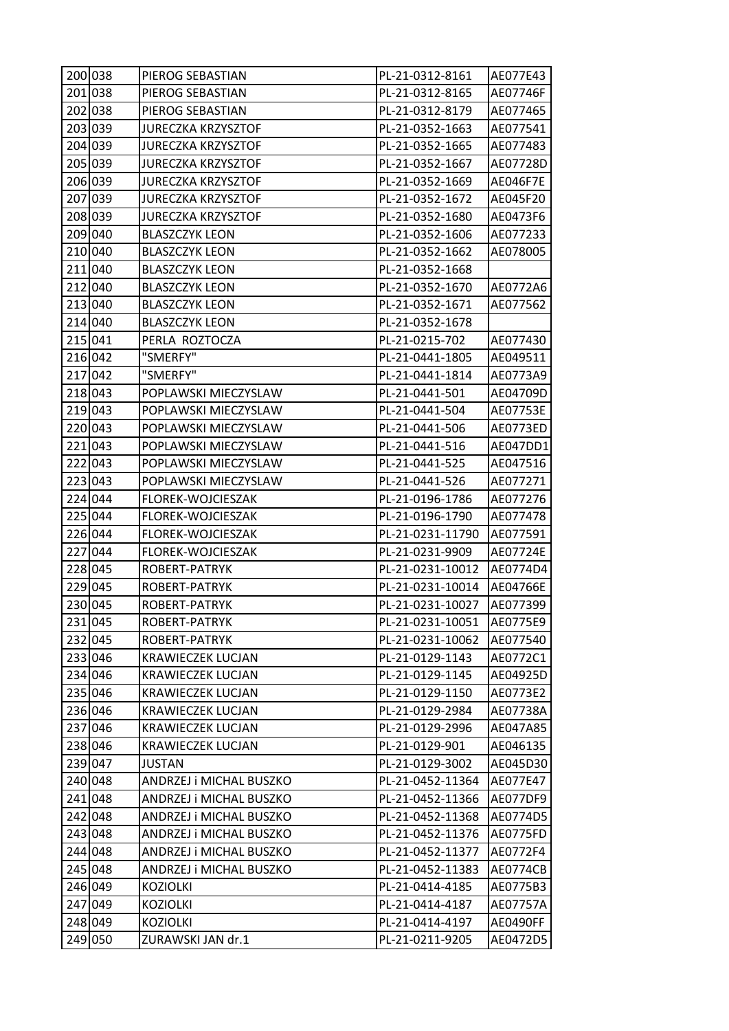| 200 038 | PIEROG SEBASTIAN          | PL-21-0312-8161  | AE077E43 |
|---------|---------------------------|------------------|----------|
| 201 038 | PIEROG SEBASTIAN          | PL-21-0312-8165  | AE07746F |
| 202 038 | PIEROG SEBASTIAN          | PL-21-0312-8179  | AE077465 |
| 203 039 | <b>JURECZKA KRZYSZTOF</b> | PL-21-0352-1663  | AE077541 |
| 204 039 | <b>JURECZKA KRZYSZTOF</b> | PL-21-0352-1665  | AE077483 |
| 205 039 | <b>JURECZKA KRZYSZTOF</b> | PL-21-0352-1667  | AE07728D |
| 206 039 | <b>JURECZKA KRZYSZTOF</b> | PL-21-0352-1669  | AE046F7E |
| 207 039 | <b>JURECZKA KRZYSZTOF</b> | PL-21-0352-1672  | AE045F20 |
| 208 039 | <b>JURECZKA KRZYSZTOF</b> | PL-21-0352-1680  | AE0473F6 |
| 209040  | <b>BLASZCZYK LEON</b>     | PL-21-0352-1606  | AE077233 |
| 210 040 | <b>BLASZCZYK LEON</b>     | PL-21-0352-1662  | AE078005 |
| 211 040 | <b>BLASZCZYK LEON</b>     | PL-21-0352-1668  |          |
| 212 040 | <b>BLASZCZYK LEON</b>     | PL-21-0352-1670  | AE0772A6 |
| 213 040 | <b>BLASZCZYK LEON</b>     | PL-21-0352-1671  | AE077562 |
| 214 040 | <b>BLASZCZYK LEON</b>     | PL-21-0352-1678  |          |
| 215 041 | PERLA ROZTOCZA            | PL-21-0215-702   | AE077430 |
| 216 042 | "SMERFY"                  | PL-21-0441-1805  | AE049511 |
| 217 042 | "SMERFY"                  | PL-21-0441-1814  | AE0773A9 |
| 218 043 | POPLAWSKI MIECZYSLAW      | PL-21-0441-501   | AE04709D |
| 219 043 | POPLAWSKI MIECZYSLAW      | PL-21-0441-504   | AE07753E |
| 220 043 | POPLAWSKI MIECZYSLAW      | PL-21-0441-506   | AE0773ED |
| 221 043 | POPLAWSKI MIECZYSLAW      | PL-21-0441-516   | AE047DD1 |
| 222 043 | POPLAWSKI MIECZYSLAW      | PL-21-0441-525   | AE047516 |
| 223 043 | POPLAWSKI MIECZYSLAW      | PL-21-0441-526   | AE077271 |
| 224 044 | FLOREK-WOJCIESZAK         | PL-21-0196-1786  | AE077276 |
| 225 044 | FLOREK-WOJCIESZAK         | PL-21-0196-1790  | AE077478 |
| 226 044 | FLOREK-WOJCIESZAK         | PL-21-0231-11790 | AE077591 |
| 227 044 | FLOREK-WOJCIESZAK         | PL-21-0231-9909  | AE07724E |
| 228 045 | ROBERT-PATRYK             | PL-21-0231-10012 | AE0774D4 |
| 229 045 | ROBERT-PATRYK             | PL-21-0231-10014 | AE04766E |
| 230 045 | ROBERT-PATRYK             | PL-21-0231-10027 | AE077399 |
| 231 045 | ROBERT-PATRYK             | PL-21-0231-10051 | AE0775E9 |
| 232 045 | ROBERT-PATRYK             | PL-21-0231-10062 | AE077540 |
| 233 046 | <b>KRAWIECZEK LUCJAN</b>  | PL-21-0129-1143  | AE0772C1 |
| 234 046 | <b>KRAWIECZEK LUCJAN</b>  | PL-21-0129-1145  | AE04925D |
| 235 046 | KRAWIECZEK LUCJAN         | PL-21-0129-1150  | AE0773E2 |
| 236 046 | <b>KRAWIECZEK LUCJAN</b>  | PL-21-0129-2984  | AE07738A |
| 237 046 | KRAWIECZEK LUCJAN         | PL-21-0129-2996  | AE047A85 |
| 238 046 | KRAWIECZEK LUCJAN         | PL-21-0129-901   | AE046135 |
| 239 047 | <b>JUSTAN</b>             | PL-21-0129-3002  | AE045D30 |
| 240 048 | ANDRZEJ i MICHAL BUSZKO   | PL-21-0452-11364 | AE077E47 |
| 241 048 | ANDRZEJ i MICHAL BUSZKO   | PL-21-0452-11366 | AE077DF9 |
| 242 048 | ANDRZEJ i MICHAL BUSZKO   | PL-21-0452-11368 | AE0774D5 |
| 243 048 | ANDRZEJ i MICHAL BUSZKO   | PL-21-0452-11376 | AE0775FD |
| 244 048 | ANDRZEJ i MICHAL BUSZKO   | PL-21-0452-11377 | AE0772F4 |
| 245 048 | ANDRZEJ i MICHAL BUSZKO   | PL-21-0452-11383 | AE0774CB |
| 246 049 | <b>KOZIOLKI</b>           | PL-21-0414-4185  | AE0775B3 |
| 247 049 | <b>KOZIOLKI</b>           | PL-21-0414-4187  | AE07757A |
| 248 049 | <b>KOZIOLKI</b>           | PL-21-0414-4197  | AE0490FF |
| 249 050 | ZURAWSKI JAN dr.1         | PL-21-0211-9205  | AE0472D5 |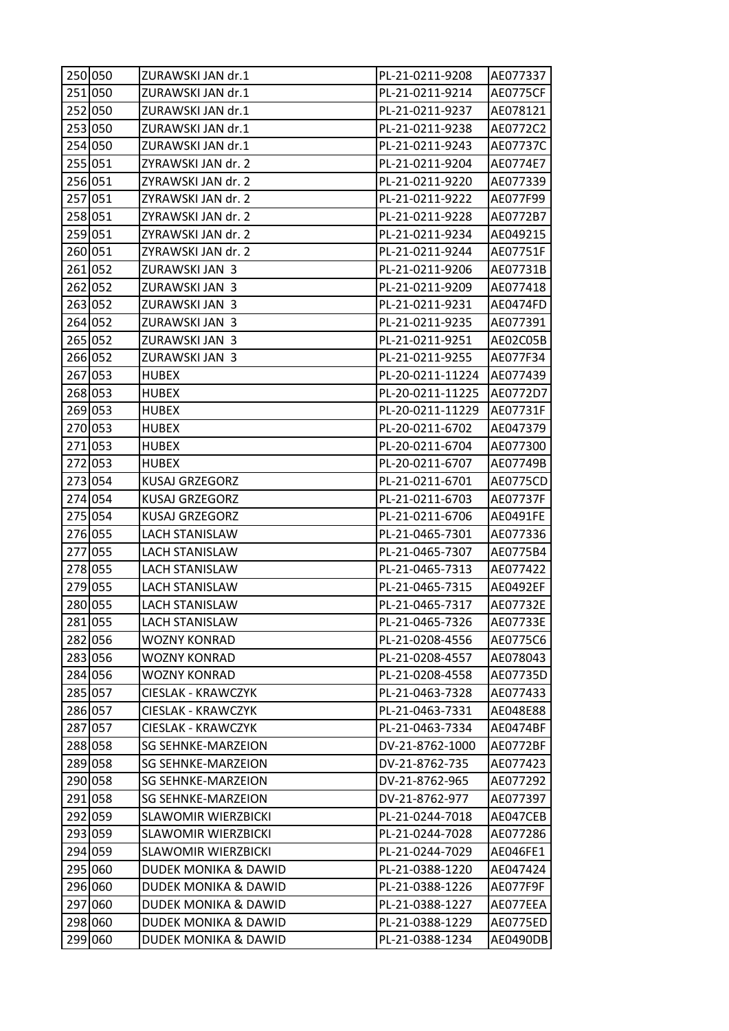| 250 050 | ZURAWSKI JAN dr.1               | PL-21-0211-9208  | AE077337        |
|---------|---------------------------------|------------------|-----------------|
| 251 050 | ZURAWSKI JAN dr.1               | PL-21-0211-9214  | <b>AE0775CF</b> |
| 252 050 | ZURAWSKI JAN dr.1               | PL-21-0211-9237  | AE078121        |
| 253 050 | ZURAWSKI JAN dr.1               | PL-21-0211-9238  | AE0772C2        |
| 254 050 | ZURAWSKI JAN dr.1               | PL-21-0211-9243  | AE07737C        |
| 255 051 | ZYRAWSKI JAN dr. 2              | PL-21-0211-9204  | AE0774E7        |
| 256 051 | ZYRAWSKI JAN dr. 2              | PL-21-0211-9220  | AE077339        |
| 257 051 | ZYRAWSKI JAN dr. 2              | PL-21-0211-9222  | AE077F99        |
| 258 051 | ZYRAWSKI JAN dr. 2              | PL-21-0211-9228  | AE0772B7        |
| 259 051 | ZYRAWSKI JAN dr. 2              | PL-21-0211-9234  | AE049215        |
| 260 051 | ZYRAWSKI JAN dr. 2              | PL-21-0211-9244  | AE07751F        |
| 261 052 | ZURAWSKI JAN 3                  | PL-21-0211-9206  | AE07731B        |
| 262 052 | ZURAWSKI JAN 3                  | PL-21-0211-9209  | AE077418        |
| 263 052 | ZURAWSKI JAN 3                  | PL-21-0211-9231  | AE0474FD        |
| 264 052 | ZURAWSKI JAN 3                  | PL-21-0211-9235  | AE077391        |
| 265 052 | ZURAWSKI JAN 3                  | PL-21-0211-9251  | AE02C05B        |
| 266 052 | ZURAWSKI JAN 3                  | PL-21-0211-9255  | AE077F34        |
| 267 053 | HUBEX                           | PL-20-0211-11224 | AE077439        |
| 268 053 | <b>HUBEX</b>                    | PL-20-0211-11225 | AE0772D7        |
| 269 053 | <b>HUBEX</b>                    | PL-20-0211-11229 | AE07731F        |
| 270 053 | HUBEX                           | PL-20-0211-6702  | AE047379        |
| 271 053 | <b>HUBEX</b>                    | PL-20-0211-6704  | AE077300        |
| 272 053 | <b>HUBEX</b>                    | PL-20-0211-6707  | AE07749B        |
| 273 054 | <b>KUSAJ GRZEGORZ</b>           | PL-21-0211-6701  | AE0775CD        |
| 274 054 | <b>KUSAJ GRZEGORZ</b>           | PL-21-0211-6703  | AE07737F        |
| 275 054 | KUSAJ GRZEGORZ                  | PL-21-0211-6706  | AE0491FE        |
| 276 055 | <b>LACH STANISLAW</b>           | PL-21-0465-7301  | AE077336        |
| 277 055 | LACH STANISLAW                  | PL-21-0465-7307  | AE0775B4        |
| 278 055 | <b>LACH STANISLAW</b>           | PL-21-0465-7313  | AE077422        |
| 279 055 | <b>LACH STANISLAW</b>           | PL-21-0465-7315  | <b>AE0492EF</b> |
| 280 055 | <b>LACH STANISLAW</b>           | PL-21-0465-7317  | AE07732E        |
| 281 055 | <b>LACH STANISLAW</b>           | PL-21-0465-7326  | AE07733E        |
| 282 056 | <b>WOZNY KONRAD</b>             | PL-21-0208-4556  | AE0775C6        |
| 283 056 | <b>WOZNY KONRAD</b>             | PL-21-0208-4557  | AE078043        |
| 284 056 | <b>WOZNY KONRAD</b>             | PL-21-0208-4558  | AE07735D        |
| 285 057 | <b>CIESLAK - KRAWCZYK</b>       | PL-21-0463-7328  | AE077433        |
| 286 057 | CIESLAK - KRAWCZYK              | PL-21-0463-7331  | AE048E88        |
| 287 057 | CIESLAK - KRAWCZYK              | PL-21-0463-7334  | AE0474BF        |
| 288 058 | <b>SG SEHNKE-MARZEION</b>       | DV-21-8762-1000  | <b>AE0772BF</b> |
| 289 058 | <b>SG SEHNKE-MARZEION</b>       | DV-21-8762-735   | AE077423        |
| 290 058 | SG SEHNKE-MARZEION              | DV-21-8762-965   | AE077292        |
| 291 058 | <b>SG SEHNKE-MARZEION</b>       | DV-21-8762-977   | AE077397        |
| 292 059 | <b>SLAWOMIR WIERZBICKI</b>      | PL-21-0244-7018  | AE047CEB        |
| 293 059 | <b>SLAWOMIR WIERZBICKI</b>      | PL-21-0244-7028  | AE077286        |
| 294 059 | SLAWOMIR WIERZBICKI             | PL-21-0244-7029  | AE046FE1        |
| 295 060 | <b>DUDEK MONIKA &amp; DAWID</b> | PL-21-0388-1220  | AE047424        |
| 296 060 | DUDEK MONIKA & DAWID            | PL-21-0388-1226  | AE077F9F        |
| 297 060 | DUDEK MONIKA & DAWID            | PL-21-0388-1227  | AE077EEA        |
| 298 060 | DUDEK MONIKA & DAWID            | PL-21-0388-1229  | AE0775ED        |
| 299 060 | DUDEK MONIKA & DAWID            | PL-21-0388-1234  | AE0490DB        |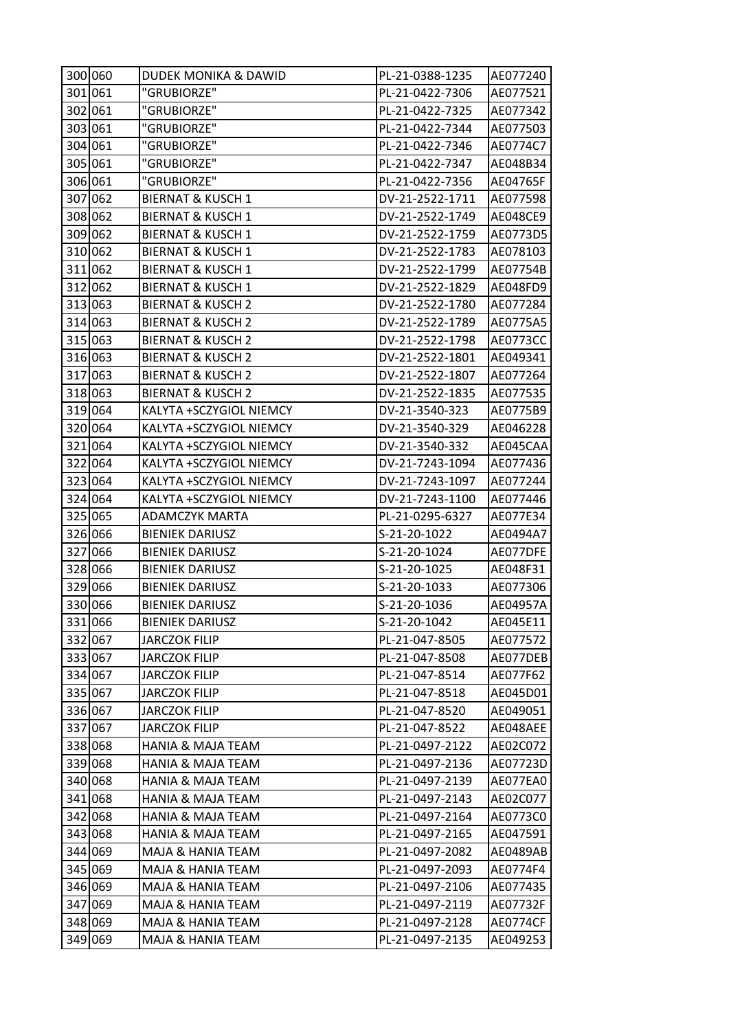|         | 300 060 | <b>DUDEK MONIKA &amp; DAWID</b> | PL-21-0388-1235 | AE077240 |
|---------|---------|---------------------------------|-----------------|----------|
|         | 301 061 | "GRUBIORZE"                     | PL-21-0422-7306 | AE077521 |
|         | 302 061 | "GRUBIORZE"                     | PL-21-0422-7325 | AE077342 |
|         | 303 061 | "GRUBIORZE"                     | PL-21-0422-7344 | AE077503 |
|         | 304 061 | "GRUBIORZE"                     | PL-21-0422-7346 | AE0774C7 |
|         | 305 061 | "GRUBIORZE"                     | PL-21-0422-7347 | AE048B34 |
|         | 306 061 | "GRUBIORZE"                     | PL-21-0422-7356 | AE04765F |
|         | 307 062 | <b>BIERNAT &amp; KUSCH 1</b>    | DV-21-2522-1711 | AE077598 |
|         | 308 062 | <b>BIERNAT &amp; KUSCH 1</b>    | DV-21-2522-1749 | AE048CE9 |
|         | 309 062 | <b>BIERNAT &amp; KUSCH 1</b>    | DV-21-2522-1759 | AE0773D5 |
|         | 310 062 | <b>BIERNAT &amp; KUSCH 1</b>    | DV-21-2522-1783 | AE078103 |
|         | 311 062 | <b>BIERNAT &amp; KUSCH 1</b>    | DV-21-2522-1799 | AE07754B |
|         | 312 062 | <b>BIERNAT &amp; KUSCH 1</b>    | DV-21-2522-1829 | AE048FD9 |
|         | 313 063 | <b>BIERNAT &amp; KUSCH 2</b>    | DV-21-2522-1780 | AE077284 |
|         | 314 063 | <b>BIERNAT &amp; KUSCH 2</b>    | DV-21-2522-1789 | AE0775A5 |
|         | 315 063 | <b>BIERNAT &amp; KUSCH 2</b>    | DV-21-2522-1798 | AE0773CC |
|         | 316 063 | <b>BIERNAT &amp; KUSCH 2</b>    | DV-21-2522-1801 | AE049341 |
|         | 317 063 | <b>BIERNAT &amp; KUSCH 2</b>    | DV-21-2522-1807 | AE077264 |
|         | 318 063 | <b>BIERNAT &amp; KUSCH 2</b>    | DV-21-2522-1835 | AE077535 |
|         | 319 064 | KALYTA +SCZYGIOL NIEMCY         | DV-21-3540-323  | AE0775B9 |
|         | 320 064 | KALYTA +SCZYGIOL NIEMCY         | DV-21-3540-329  | AE046228 |
|         | 321 064 | KALYTA +SCZYGIOL NIEMCY         | DV-21-3540-332  | AE045CAA |
|         | 322 064 | KALYTA +SCZYGIOL NIEMCY         | DV-21-7243-1094 | AE077436 |
|         | 323 064 | KALYTA +SCZYGIOL NIEMCY         | DV-21-7243-1097 | AE077244 |
|         | 324 064 | KALYTA +SCZYGIOL NIEMCY         | DV-21-7243-1100 | AE077446 |
|         | 325 065 | ADAMCZYK MARTA                  | PL-21-0295-6327 | AE077E34 |
|         | 326 066 | <b>BIENIEK DARIUSZ</b>          | S-21-20-1022    | AE0494A7 |
| 327 066 |         | <b>BIENIEK DARIUSZ</b>          | S-21-20-1024    |          |
|         |         |                                 |                 | AE077DFE |
|         | 328 066 | <b>BIENIEK DARIUSZ</b>          | S-21-20-1025    | AE048F31 |
|         | 329 066 | <b>BIENIEK DARIUSZ</b>          | S-21-20-1033    | AE077306 |
|         | 330 066 | <b>BIENIEK DARIUSZ</b>          | S-21-20-1036    | AE04957A |
|         | 331 066 | <b>BIENIEK DARIUSZ</b>          | S-21-20-1042    | AE045E11 |
|         | 332 067 | JARCZOK FILIP                   | PL-21-047-8505  | AE077572 |
|         | 333 067 | JARCZOK FILIP                   | PL-21-047-8508  | AE077DEB |
|         | 334 067 | <b>JARCZOK FILIP</b>            | PL-21-047-8514  | AE077F62 |
|         | 335 067 | JARCZOK FILIP                   | PL-21-047-8518  | AE045D01 |
|         | 336 067 | <b>JARCZOK FILIP</b>            | PL-21-047-8520  | AE049051 |
|         | 337 067 | <b>JARCZOK FILIP</b>            | PL-21-047-8522  | AE048AEE |
|         | 338 068 | <b>HANIA &amp; MAJA TEAM</b>    | PL-21-0497-2122 | AE02C072 |
|         | 339 068 | HANIA & MAJA TEAM               | PL-21-0497-2136 | AE07723D |
|         | 340 068 | HANIA & MAJA TEAM               | PL-21-0497-2139 | AE077EA0 |
|         | 341 068 | <b>HANIA &amp; MAJA TEAM</b>    | PL-21-0497-2143 | AE02C077 |
|         | 342 068 | HANIA & MAJA TEAM               | PL-21-0497-2164 | AE0773C0 |
|         | 343 068 | HANIA & MAJA TEAM               | PL-21-0497-2165 | AE047591 |
|         | 344 069 | MAJA & HANIA TEAM               | PL-21-0497-2082 | AE0489AB |
|         | 345 069 | MAJA & HANIA TEAM               | PL-21-0497-2093 | AE0774F4 |
|         | 346 069 | MAJA & HANIA TEAM               | PL-21-0497-2106 | AE077435 |
|         | 347 069 | MAJA & HANIA TEAM               | PL-21-0497-2119 | AE07732F |
|         | 348 069 | MAJA & HANIA TEAM               | PL-21-0497-2128 | AE0774CF |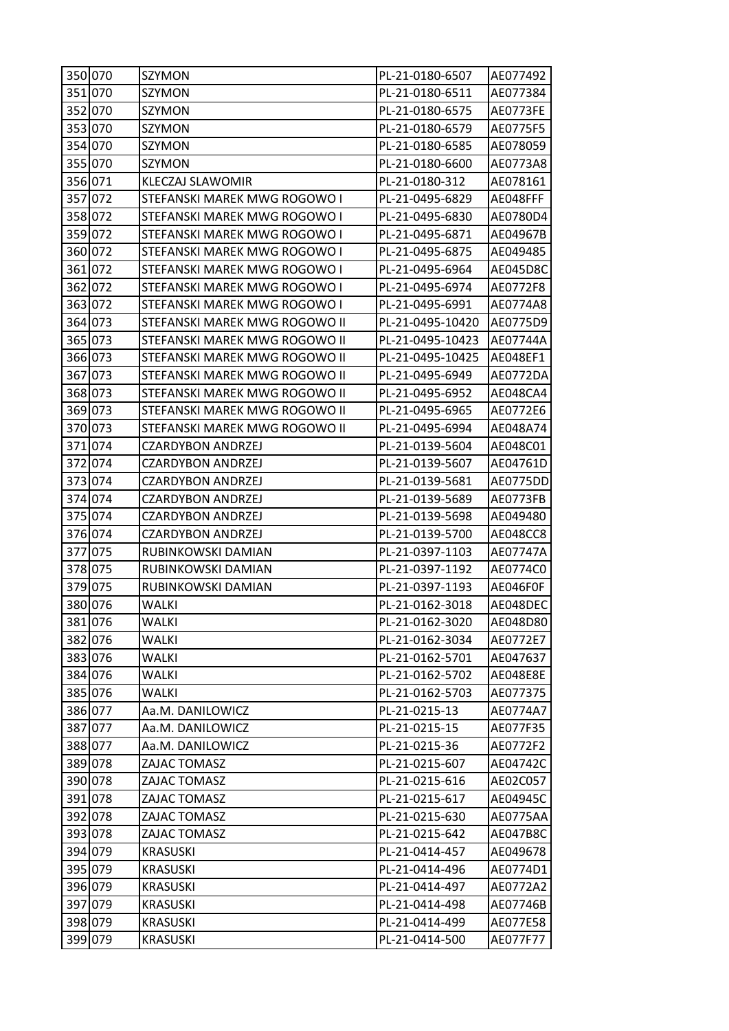| 350 070 | SZYMON                        | PL-21-0180-6507  | AE077492        |
|---------|-------------------------------|------------------|-----------------|
| 351 070 | SZYMON                        | PL-21-0180-6511  | AE077384        |
| 352 070 | SZYMON                        | PL-21-0180-6575  | AE0773FE        |
| 353 070 | SZYMON                        | PL-21-0180-6579  | AE0775F5        |
| 354 070 | SZYMON                        | PL-21-0180-6585  | AE078059        |
| 355 070 | SZYMON                        | PL-21-0180-6600  | AE0773A8        |
| 356 071 | <b>KLECZAJ SLAWOMIR</b>       | PL-21-0180-312   | AE078161        |
| 357 072 | STEFANSKI MAREK MWG ROGOWO I  | PL-21-0495-6829  | AE048FFF        |
| 358 072 | STEFANSKI MAREK MWG ROGOWO I  | PL-21-0495-6830  | AE0780D4        |
| 359 072 | STEFANSKI MAREK MWG ROGOWO I  | PL-21-0495-6871  | AE04967B        |
| 360 072 | STEFANSKI MAREK MWG ROGOWO I  | PL-21-0495-6875  | AE049485        |
| 361 072 | STEFANSKI MAREK MWG ROGOWO I  | PL-21-0495-6964  | AE045D8C        |
| 362 072 | STEFANSKI MAREK MWG ROGOWO I  | PL-21-0495-6974  | AE0772F8        |
| 363 072 | STEFANSKI MAREK MWG ROGOWO I  | PL-21-0495-6991  | AE0774A8        |
| 364 073 | STEFANSKI MAREK MWG ROGOWO II | PL-21-0495-10420 | AE0775D9        |
| 365 073 | STEFANSKI MAREK MWG ROGOWO II | PL-21-0495-10423 | AE07744A        |
| 366 073 | STEFANSKI MAREK MWG ROGOWO II | PL-21-0495-10425 | AE048EF1        |
| 367 073 | STEFANSKI MAREK MWG ROGOWO II | PL-21-0495-6949  | AE0772DA        |
| 368 073 | STEFANSKI MAREK MWG ROGOWO II | PL-21-0495-6952  | AE048CA4        |
| 369 073 | STEFANSKI MAREK MWG ROGOWO II | PL-21-0495-6965  | AE0772E6        |
| 370 073 | STEFANSKI MAREK MWG ROGOWO II | PL-21-0495-6994  | AE048A74        |
| 371 074 | <b>CZARDYBON ANDRZEJ</b>      | PL-21-0139-5604  | AE048C01        |
| 372 074 | <b>CZARDYBON ANDRZEJ</b>      | PL-21-0139-5607  | AE04761D        |
| 373 074 | CZARDYBON ANDRZEJ             | PL-21-0139-5681  | AE0775DD        |
| 374 074 | <b>CZARDYBON ANDRZEJ</b>      | PL-21-0139-5689  | AE0773FB        |
| 375 074 | CZARDYBON ANDRZEJ             | PL-21-0139-5698  | AE049480        |
| 376 074 | <b>CZARDYBON ANDRZEJ</b>      | PL-21-0139-5700  | AE048CC8        |
| 377 075 | RUBINKOWSKI DAMIAN            | PL-21-0397-1103  | AE07747A        |
| 378 075 | RUBINKOWSKI DAMIAN            | PL-21-0397-1192  | AE0774C0        |
| 379 075 | RUBINKOWSKI DAMIAN            | PL-21-0397-1193  | AE046F0F        |
| 380 076 | WALKI                         | PL-21-0162-3018  | AE048DEC        |
| 381 076 | <b>WALKI</b>                  | PL-21-0162-3020  | AE048D80        |
| 382 076 | <b>WALKI</b>                  | PL-21-0162-3034  | AE0772E7        |
| 383 076 | WALKI                         | PL-21-0162-5701  | AE047637        |
| 384 076 | <b>WALKI</b>                  | PL-21-0162-5702  | <b>AE048E8E</b> |
| 385 076 | WALKI                         | PL-21-0162-5703  | AE077375        |
| 386 077 | Aa.M. DANILOWICZ              | PL-21-0215-13    | AE0774A7        |
| 387 077 | Aa.M. DANILOWICZ              | PL-21-0215-15    | AE077F35        |
| 388 077 | Aa.M. DANILOWICZ              | PL-21-0215-36    | AE0772F2        |
| 389 078 | ZAJAC TOMASZ                  | PL-21-0215-607   | AE04742C        |
| 390 078 | ZAJAC TOMASZ                  | PL-21-0215-616   | AE02C057        |
| 391 078 | ZAJAC TOMASZ                  | PL-21-0215-617   | AE04945C        |
| 392 078 | ZAJAC TOMASZ                  | PL-21-0215-630   | AE0775AA        |
| 393 078 | ZAJAC TOMASZ                  | PL-21-0215-642   | AE047B8C        |
| 394 079 | <b>KRASUSKI</b>               | PL-21-0414-457   | AE049678        |
| 395 079 | <b>KRASUSKI</b>               | PL-21-0414-496   | AE0774D1        |
| 396 079 | <b>KRASUSKI</b>               | PL-21-0414-497   | AE0772A2        |
| 397 079 | <b>KRASUSKI</b>               | PL-21-0414-498   | AE07746B        |
| 398 079 | KRASUSKI                      | PL-21-0414-499   | AE077E58        |
| 399 079 | <b>KRASUSKI</b>               | PL-21-0414-500   | AE077F77        |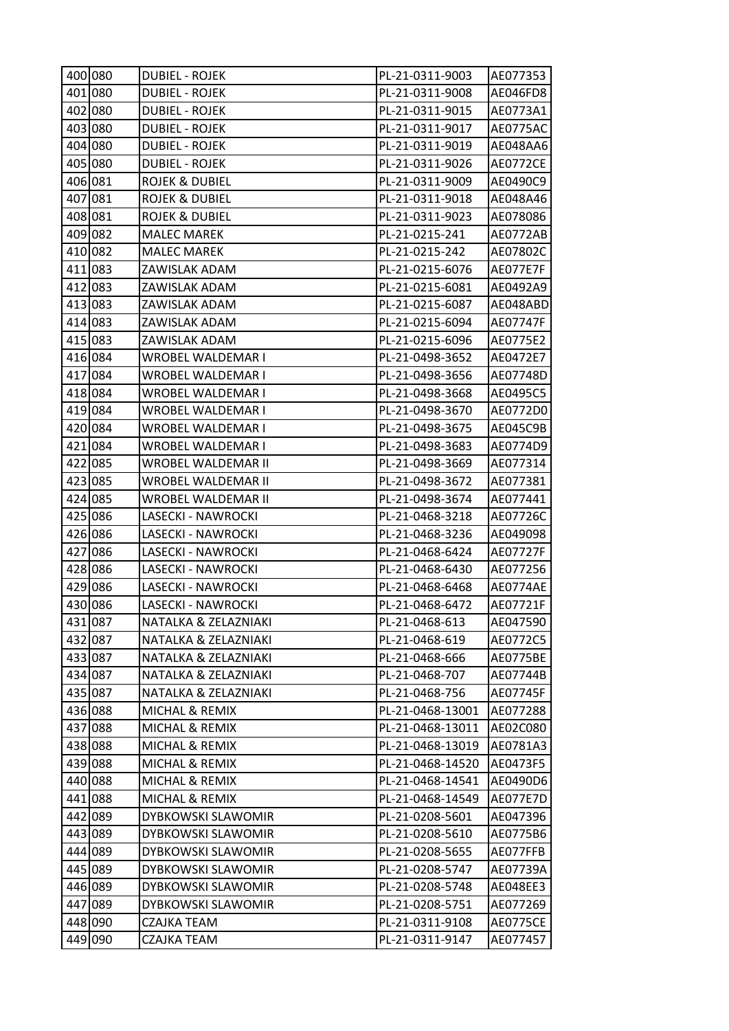| 400 080 | <b>DUBIEL - ROJEK</b>     | PL-21-0311-9003  | AE077353        |
|---------|---------------------------|------------------|-----------------|
| 401 080 | <b>DUBIEL - ROJEK</b>     | PL-21-0311-9008  | AE046FD8        |
| 402 080 | <b>DUBIEL - ROJEK</b>     | PL-21-0311-9015  | AE0773A1        |
| 403 080 | <b>DUBIEL - ROJEK</b>     | PL-21-0311-9017  | AE0775AC        |
| 404 080 | <b>DUBIEL - ROJEK</b>     | PL-21-0311-9019  | AE048AA6        |
| 405 080 | <b>DUBIEL - ROJEK</b>     | PL-21-0311-9026  | AE0772CE        |
| 406 081 | ROJEK & DUBIEL            | PL-21-0311-9009  | AE0490C9        |
| 407 081 | <b>ROJEK &amp; DUBIEL</b> | PL-21-0311-9018  | AE048A46        |
| 408 081 | ROJEK & DUBIEL            | PL-21-0311-9023  | AE078086        |
| 409 082 | <b>MALEC MAREK</b>        | PL-21-0215-241   | AE0772AB        |
| 410 082 | <b>MALEC MAREK</b>        | PL-21-0215-242   | AE07802C        |
| 411 083 | ZAWISLAK ADAM             | PL-21-0215-6076  | AE077E7F        |
| 412 083 | ZAWISLAK ADAM             | PL-21-0215-6081  | AE0492A9        |
| 413 083 | ZAWISLAK ADAM             | PL-21-0215-6087  | AE048ABD        |
| 414 083 | ZAWISLAK ADAM             | PL-21-0215-6094  | AE07747F        |
| 415 083 | ZAWISLAK ADAM             | PL-21-0215-6096  | AE0775E2        |
| 416 084 | WROBEL WALDEMAR I         | PL-21-0498-3652  | AE0472E7        |
| 417 084 | <b>WROBEL WALDEMAR I</b>  | PL-21-0498-3656  | AE07748D        |
| 418 084 | WROBEL WALDEMAR I         | PL-21-0498-3668  | AE0495C5        |
| 419 084 | WROBEL WALDEMAR I         | PL-21-0498-3670  | AE0772D0        |
| 420 084 | WROBEL WALDEMAR I         | PL-21-0498-3675  | AE045C9B        |
| 421 084 | WROBEL WALDEMAR I         | PL-21-0498-3683  | AE0774D9        |
| 422 085 | WROBEL WALDEMAR II        | PL-21-0498-3669  | AE077314        |
| 423 085 | WROBEL WALDEMAR II        | PL-21-0498-3672  | AE077381        |
| 424 085 | WROBEL WALDEMAR II        | PL-21-0498-3674  | AE077441        |
| 425 086 | LASECKI - NAWROCKI        | PL-21-0468-3218  | AE07726C        |
| 426 086 | LASECKI - NAWROCKI        | PL-21-0468-3236  | AE049098        |
| 427 086 | LASECKI - NAWROCKI        | PL-21-0468-6424  | AE07727F        |
| 428 086 | LASECKI - NAWROCKI        | PL-21-0468-6430  | AE077256        |
| 429 086 | LASECKI - NAWROCKI        | PL-21-0468-6468  | AE0774AE        |
| 430 086 | LASECKI - NAWROCKI        | PL-21-0468-6472  | AE07721F        |
| 431 087 | NATALKA & ZELAZNIAKI      | PL-21-0468-613   | AE047590        |
| 432 087 | NATALKA & ZELAZNIAKI      | PL-21-0468-619   | AE0772C5        |
| 433 087 | NATALKA & ZELAZNIAKI      | PL-21-0468-666   | AE0775BE        |
| 434 087 | NATALKA & ZELAZNIAKI      | PL-21-0468-707   | AE07744B        |
| 435 087 | NATALKA & ZELAZNIAKI      | PL-21-0468-756   | AE07745F        |
| 436 088 | MICHAL & REMIX            | PL-21-0468-13001 | AE077288        |
| 437 088 | MICHAL & REMIX            | PL-21-0468-13011 | AE02C080        |
| 438 088 | MICHAL & REMIX            | PL-21-0468-13019 | AE0781A3        |
| 439 088 | MICHAL & REMIX            | PL-21-0468-14520 | AE0473F5        |
| 440 088 | MICHAL & REMIX            | PL-21-0468-14541 | AE0490D6        |
| 441 088 | MICHAL & REMIX            | PL-21-0468-14549 | AE077E7D        |
| 442 089 | DYBKOWSKI SLAWOMIR        | PL-21-0208-5601  | AE047396        |
| 443 089 | DYBKOWSKI SLAWOMIR        | PL-21-0208-5610  | AE0775B6        |
| 444 089 | DYBKOWSKI SLAWOMIR        | PL-21-0208-5655  | AE077FFB        |
| 445 089 | DYBKOWSKI SLAWOMIR        | PL-21-0208-5747  | AE07739A        |
| 446 089 | DYBKOWSKI SLAWOMIR        | PL-21-0208-5748  | AE048EE3        |
| 447 089 | DYBKOWSKI SLAWOMIR        | PL-21-0208-5751  | AE077269        |
| 448 090 | CZAJKA TEAM               | PL-21-0311-9108  | <b>AE0775CE</b> |
| 449 090 | CZAJKA TEAM               | PL-21-0311-9147  | AE077457        |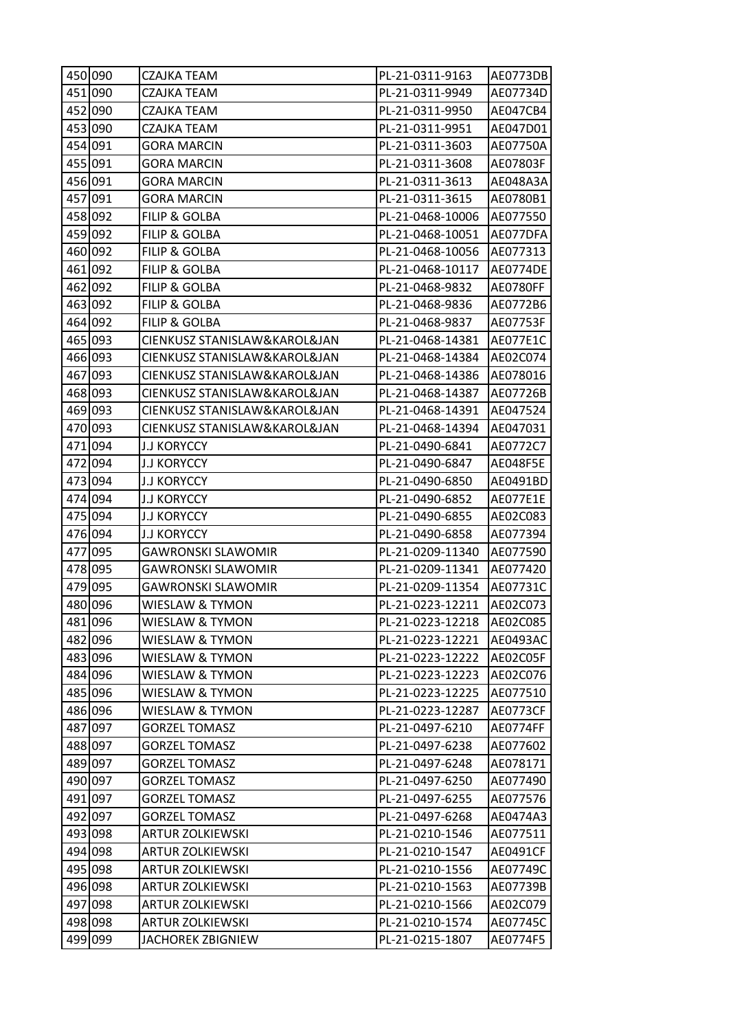|         | 450 090 | CZAJKA TEAM                  | PL-21-0311-9163  | AE0773DB        |
|---------|---------|------------------------------|------------------|-----------------|
|         | 451 090 | CZAJKA TEAM                  | PL-21-0311-9949  | AE07734D        |
|         | 452 090 | CZAJKA TEAM                  | PL-21-0311-9950  | AE047CB4        |
|         | 453 090 | CZAJKA TEAM                  | PL-21-0311-9951  | AE047D01        |
|         | 454 091 | <b>GORA MARCIN</b>           | PL-21-0311-3603  | AE07750A        |
|         | 455 091 | GORA MARCIN                  | PL-21-0311-3608  | AE07803F        |
|         | 456 091 | GORA MARCIN                  | PL-21-0311-3613  | AE048A3A        |
|         | 457 091 | <b>GORA MARCIN</b>           | PL-21-0311-3615  | AE0780B1        |
|         | 458 092 | <b>FILIP &amp; GOLBA</b>     | PL-21-0468-10006 | AE077550        |
|         | 459 092 | <b>FILIP &amp; GOLBA</b>     | PL-21-0468-10051 | AE077DFA        |
|         | 460 092 | <b>FILIP &amp; GOLBA</b>     | PL-21-0468-10056 | AE077313        |
|         | 461 092 | FILIP & GOLBA                | PL-21-0468-10117 | <b>AE0774DE</b> |
|         | 462 092 | FILIP & GOLBA                | PL-21-0468-9832  | AE0780FF        |
|         | 463 092 | <b>FILIP &amp; GOLBA</b>     | PL-21-0468-9836  | AE0772B6        |
|         | 464 092 | <b>FILIP &amp; GOLBA</b>     | PL-21-0468-9837  | AE07753F        |
|         | 465 093 | CIENKUSZ STANISLAW&KAROL&JAN | PL-21-0468-14381 | AE077E1C        |
|         | 466 093 | CIENKUSZ STANISLAW&KAROL&JAN | PL-21-0468-14384 | AE02C074        |
|         | 467 093 | CIENKUSZ STANISLAW&KAROL&JAN | PL-21-0468-14386 | AE078016        |
|         | 468 093 | CIENKUSZ STANISLAW&KAROL&JAN | PL-21-0468-14387 | AE07726B        |
|         | 469 093 | CIENKUSZ STANISLAW&KAROL&JAN | PL-21-0468-14391 | AE047524        |
|         | 470 093 | CIENKUSZ STANISLAW&KAROL&JAN | PL-21-0468-14394 | AE047031        |
|         | 471 094 | <b>J.J KORYCCY</b>           | PL-21-0490-6841  | AE0772C7        |
|         | 472 094 | <b>J.J KORYCCY</b>           | PL-21-0490-6847  | AE048F5E        |
|         | 473 094 | <b>J.J KORYCCY</b>           | PL-21-0490-6850  | AE0491BD        |
|         | 474 094 | <b>J.J KORYCCY</b>           | PL-21-0490-6852  | AE077E1E        |
|         | 475 094 | <b>J.J KORYCCY</b>           | PL-21-0490-6855  | AE02C083        |
|         | 476 094 | <b>J.J KORYCCY</b>           | PL-21-0490-6858  | AE077394        |
|         | 477 095 | GAWRONSKI SLAWOMIR           | PL-21-0209-11340 | AE077590        |
|         | 478 095 | <b>GAWRONSKI SLAWOMIR</b>    | PL-21-0209-11341 | AE077420        |
|         | 479 095 | <b>GAWRONSKI SLAWOMIR</b>    | PL-21-0209-11354 | AE07731C        |
|         | 480 096 | WIESLAW & TYMON              | PL-21-0223-12211 | AE02C073        |
|         | 481 096 | WIESLAW & TYMON              | PL-21-0223-12218 | AE02C085        |
|         | 482 096 | WIESLAW & TYMON              | PL-21-0223-12221 | AE0493AC        |
|         | 483 096 | WIESLAW & TYMON              | PL-21-0223-12222 | AE02C05F        |
|         | 484 096 | WIESLAW & TYMON              | PL-21-0223-12223 | AE02C076        |
|         | 485 096 | WIESLAW & TYMON              | PL-21-0223-12225 | AE077510        |
|         | 486 096 | WIESLAW & TYMON              | PL-21-0223-12287 | <b>AE0773CF</b> |
|         | 487 097 | GORZEL TOMASZ                | PL-21-0497-6210  | AE0774FF        |
|         | 488 097 | <b>GORZEL TOMASZ</b>         | PL-21-0497-6238  | AE077602        |
|         | 489 097 | <b>GORZEL TOMASZ</b>         | PL-21-0497-6248  | AE078171        |
|         | 490 097 | <b>GORZEL TOMASZ</b>         | PL-21-0497-6250  | AE077490        |
|         | 491 097 | <b>GORZEL TOMASZ</b>         | PL-21-0497-6255  | AE077576        |
|         | 492 097 | GORZEL TOMASZ                | PL-21-0497-6268  | AE0474A3        |
|         | 493 098 | <b>ARTUR ZOLKIEWSKI</b>      | PL-21-0210-1546  | AE077511        |
|         | 494 098 | <b>ARTUR ZOLKIEWSKI</b>      | PL-21-0210-1547  | AE0491CF        |
|         | 495 098 | <b>ARTUR ZOLKIEWSKI</b>      | PL-21-0210-1556  | AE07749C        |
|         | 496 098 | <b>ARTUR ZOLKIEWSKI</b>      | PL-21-0210-1563  | AE07739B        |
|         | 497 098 | ARTUR ZOLKIEWSKI             | PL-21-0210-1566  | AE02C079        |
|         |         | <b>ARTUR ZOLKIEWSKI</b>      | PL-21-0210-1574  | AE07745C        |
| 498 098 |         |                              |                  |                 |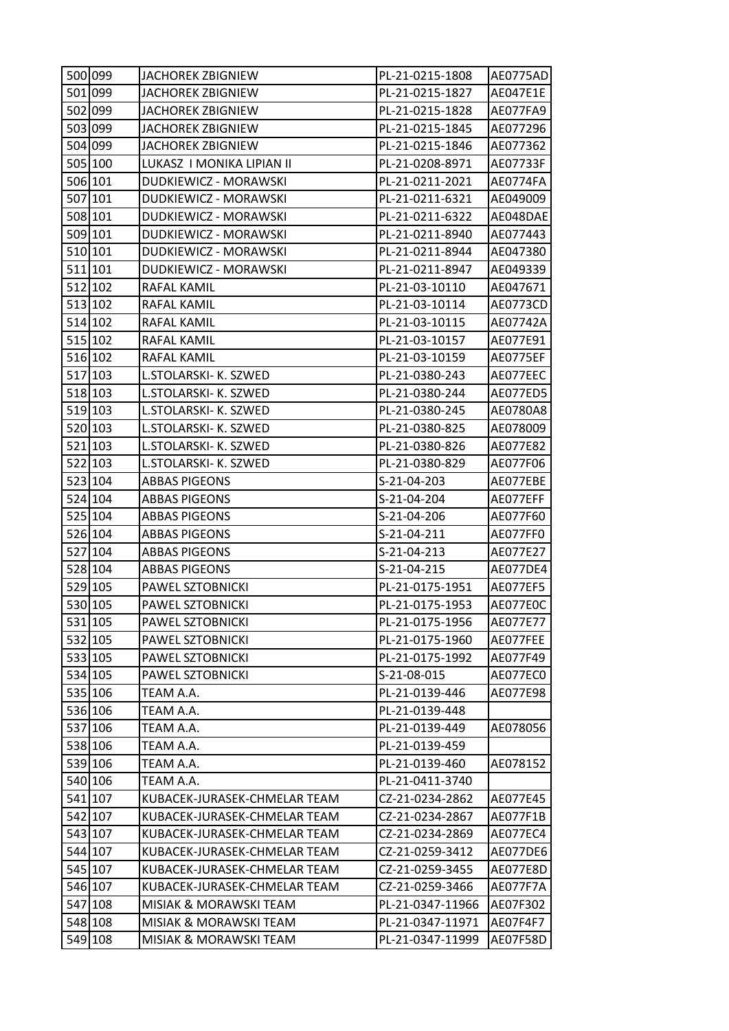| 500 099 | JACHOREK ZBIGNIEW            | PL-21-0215-1808  | <b>AE0775AD</b> |
|---------|------------------------------|------------------|-----------------|
| 501 099 | <b>JACHOREK ZBIGNIEW</b>     | PL-21-0215-1827  | AE047E1E        |
| 502 099 | <b>JACHOREK ZBIGNIEW</b>     | PL-21-0215-1828  | AE077FA9        |
| 503 099 | <b>JACHOREK ZBIGNIEW</b>     | PL-21-0215-1845  | AE077296        |
| 504 099 | JACHOREK ZBIGNIEW            | PL-21-0215-1846  | AE077362        |
| 505 100 | LUKASZ I MONIKA LIPIAN II    | PL-21-0208-8971  | AE07733F        |
| 506 101 | DUDKIEWICZ - MORAWSKI        | PL-21-0211-2021  | AE0774FA        |
| 507 101 | DUDKIEWICZ - MORAWSKI        | PL-21-0211-6321  | AE049009        |
| 508 101 | DUDKIEWICZ - MORAWSKI        | PL-21-0211-6322  | AE048DAE        |
| 509 101 | DUDKIEWICZ - MORAWSKI        | PL-21-0211-8940  | AE077443        |
| 510 101 | DUDKIEWICZ - MORAWSKI        | PL-21-0211-8944  | AE047380        |
| 511 101 | DUDKIEWICZ - MORAWSKI        | PL-21-0211-8947  | AE049339        |
| 512 102 | RAFAL KAMIL                  | PL-21-03-10110   | AE047671        |
| 513 102 | RAFAL KAMIL                  | PL-21-03-10114   | AE0773CD        |
| 514 102 | RAFAL KAMIL                  | PL-21-03-10115   | AE07742A        |
| 515 102 | RAFAL KAMIL                  | PL-21-03-10157   | AE077E91        |
| 516 102 | RAFAL KAMIL                  | PL-21-03-10159   | <b>AE0775EF</b> |
| 517 103 | L.STOLARSKI- K. SZWED        | PL-21-0380-243   | AE077EEC        |
| 518 103 | L.STOLARSKI- K. SZWED        | PL-21-0380-244   | AE077ED5        |
| 519103  | L.STOLARSKI- K. SZWED        | PL-21-0380-245   | AE0780A8        |
| 520 103 | L.STOLARSKI- K. SZWED        | PL-21-0380-825   | AE078009        |
| 521 103 | L.STOLARSKI- K. SZWED        | PL-21-0380-826   | AE077E82        |
| 522 103 | L.STOLARSKI- K. SZWED        | PL-21-0380-829   | AE077F06        |
| 523 104 | <b>ABBAS PIGEONS</b>         | S-21-04-203      | AE077EBE        |
| 524 104 | <b>ABBAS PIGEONS</b>         | S-21-04-204      | AE077EFF        |
| 525 104 | ABBAS PIGEONS                | S-21-04-206      | AE077F60        |
| 526 104 | <b>ABBAS PIGEONS</b>         | S-21-04-211      | AE077FF0        |
| 527 104 | <b>ABBAS PIGEONS</b>         | S-21-04-213      | AE077E27        |
| 528 104 | <b>ABBAS PIGEONS</b>         | S-21-04-215      | AE077DE4        |
| 529 105 | PAWEL SZTOBNICKI             | PL-21-0175-1951  | AE077EF5        |
| 530 105 | PAWEL SZTOBNICKI             | PL-21-0175-1953  | AE077E0C        |
| 531 105 | PAWEL SZTOBNICKI             | PL-21-0175-1956  | AE077E77        |
| 532 105 | PAWEL SZTOBNICKI             | PL-21-0175-1960  | AE077FEE        |
| 533 105 | PAWEL SZTOBNICKI             | PL-21-0175-1992  | AE077F49        |
| 534 105 | PAWEL SZTOBNICKI             | S-21-08-015      | AE077EC0        |
| 535 106 | TEAM A.A.                    | PL-21-0139-446   | AE077E98        |
| 536 106 | TEAM A.A.                    | PL-21-0139-448   |                 |
| 537 106 | TEAM A.A.                    | PL-21-0139-449   | AE078056        |
| 538 106 | TEAM A.A.                    | PL-21-0139-459   |                 |
| 539 106 | TEAM A.A.                    | PL-21-0139-460   | AE078152        |
| 540 106 | TEAM A.A.                    | PL-21-0411-3740  |                 |
| 541 107 | KUBACEK-JURASEK-CHMELAR TEAM | CZ-21-0234-2862  | AE077E45        |
| 542 107 | KUBACEK-JURASEK-CHMELAR TEAM | CZ-21-0234-2867  | AE077F1B        |
| 543 107 | KUBACEK-JURASEK-CHMELAR TEAM | CZ-21-0234-2869  | AE077EC4        |
| 544 107 | KUBACEK-JURASEK-CHMELAR TEAM | CZ-21-0259-3412  | AE077DE6        |
| 545 107 | KUBACEK-JURASEK-CHMELAR TEAM | CZ-21-0259-3455  | AE077E8D        |
| 546 107 | KUBACEK-JURASEK-CHMELAR TEAM | CZ-21-0259-3466  | AE077F7A        |
| 547 108 | MISIAK & MORAWSKI TEAM       | PL-21-0347-11966 | AE07F302        |
| 548 108 | MISIAK & MORAWSKI TEAM       | PL-21-0347-11971 | AE07F4F7        |
| 549 108 | MISIAK & MORAWSKI TEAM       | PL-21-0347-11999 | AE07F58D        |